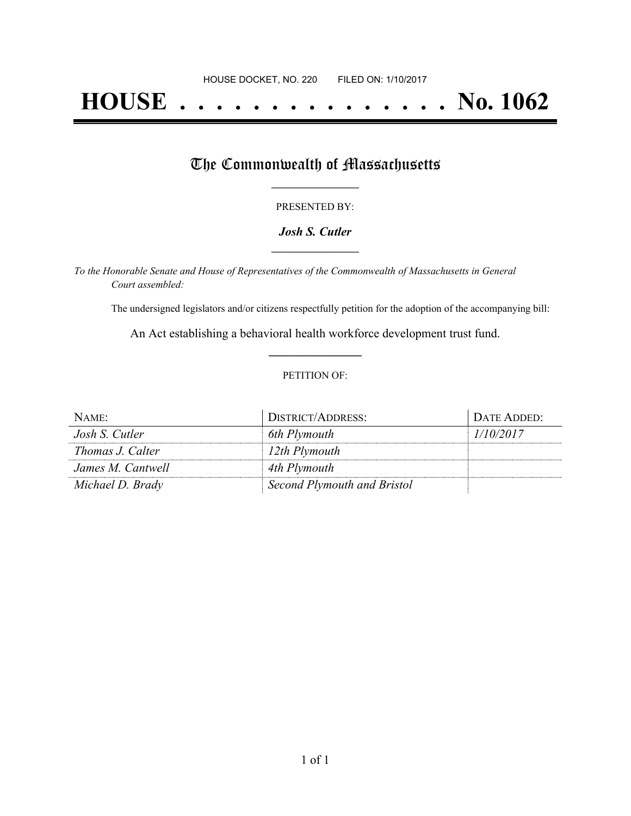# **HOUSE . . . . . . . . . . . . . . . No. 1062**

## The Commonwealth of Massachusetts

#### PRESENTED BY:

#### *Josh S. Cutler* **\_\_\_\_\_\_\_\_\_\_\_\_\_\_\_\_\_**

*To the Honorable Senate and House of Representatives of the Commonwealth of Massachusetts in General Court assembled:*

The undersigned legislators and/or citizens respectfully petition for the adoption of the accompanying bill:

An Act establishing a behavioral health workforce development trust fund. **\_\_\_\_\_\_\_\_\_\_\_\_\_\_\_**

#### PETITION OF:

| NAME:             | DISTRICT/ADDRESS:           | DATE ADDED: |
|-------------------|-----------------------------|-------------|
| Josh S. Cutler    | 6th Plymouth                | 1/10/2017   |
| Thomas J. Calter  | 12th Plymouth               |             |
| James M. Cantwell | 4th Plymouth                |             |
| Michael D. Brady  | Second Plymouth and Bristol |             |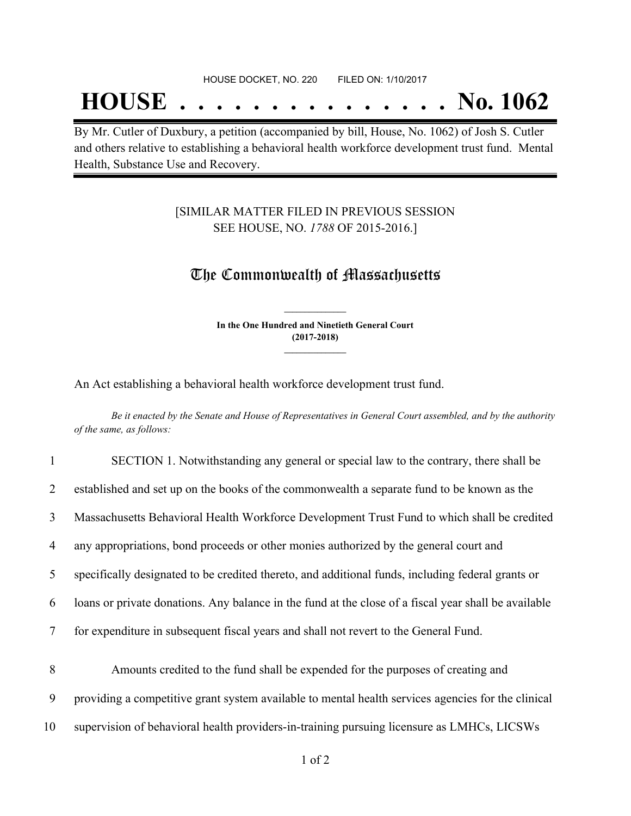## **HOUSE . . . . . . . . . . . . . . . No. 1062**

By Mr. Cutler of Duxbury, a petition (accompanied by bill, House, No. 1062) of Josh S. Cutler and others relative to establishing a behavioral health workforce development trust fund. Mental Health, Substance Use and Recovery.

#### [SIMILAR MATTER FILED IN PREVIOUS SESSION SEE HOUSE, NO. *1788* OF 2015-2016.]

### The Commonwealth of Massachusetts

**In the One Hundred and Ninetieth General Court (2017-2018) \_\_\_\_\_\_\_\_\_\_\_\_\_\_\_**

**\_\_\_\_\_\_\_\_\_\_\_\_\_\_\_**

An Act establishing a behavioral health workforce development trust fund.

Be it enacted by the Senate and House of Representatives in General Court assembled, and by the authority *of the same, as follows:*

| $\mathbf{1}$   | SECTION 1. Notwithstanding any general or special law to the contrary, there shall be                |
|----------------|------------------------------------------------------------------------------------------------------|
| 2              | established and set up on the books of the commonwealth a separate fund to be known as the           |
| 3              | Massachusetts Behavioral Health Workforce Development Trust Fund to which shall be credited          |
| $\overline{4}$ | any appropriations, bond proceeds or other monies authorized by the general court and                |
| 5              | specifically designated to be credited thereto, and additional funds, including federal grants or    |
| 6              | loans or private donations. Any balance in the fund at the close of a fiscal year shall be available |
| $\tau$         | for expenditure in subsequent fiscal years and shall not revert to the General Fund.                 |
| 8              | Amounts credited to the fund shall be expended for the purposes of creating and                      |
| 9              | providing a competitive grant system available to mental health services agencies for the clinical   |
| 10             | supervision of behavioral health providers-in-training pursuing licensure as LMHCs, LICSWs           |